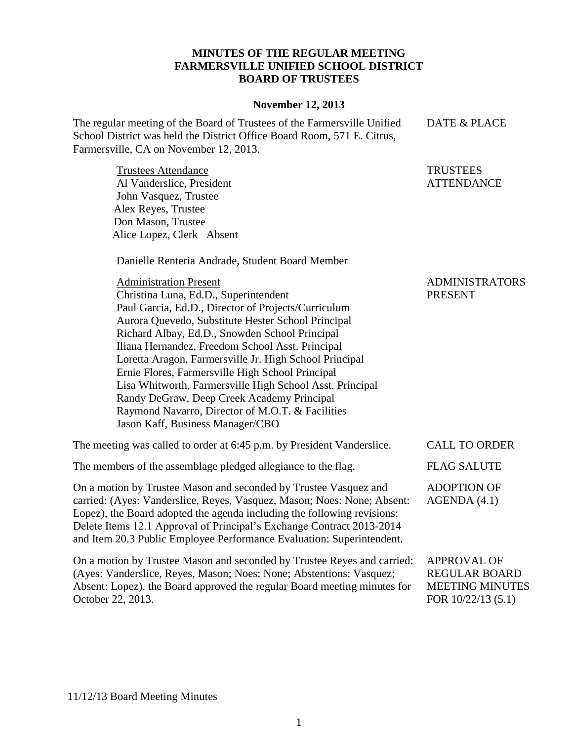## **MINUTES OF THE REGULAR MEETING FARMERSVILLE UNIFIED SCHOOL DISTRICT BOARD OF TRUSTEES**

## **November 12, 2013**

**TRUSTEES ATTENDANCE** 

The regular meeting of the Board of Trustees of the Farmersville Unified School District was held the District Office Board Room, 571 E. Citrus, Farmersville, CA on November 12, 2013. DATE & PLACE

Trustees Attendance Al Vanderslice, President John Vasquez, Trustee Alex Reyes, Trustee Don Mason, Trustee Alice Lopez, Clerk Absent

Danielle Renteria Andrade, Student Board Member

| <b>Administration Present</b><br>Christina Luna, Ed.D., Superintendent<br>Paul Garcia, Ed.D., Director of Projects/Curriculum<br>Aurora Quevedo, Substitute Hester School Principal<br>Richard Albay, Ed.D., Snowden School Principal<br>Iliana Hernandez, Freedom School Asst. Principal<br>Loretta Aragon, Farmersville Jr. High School Principal<br>Ernie Flores, Farmersville High School Principal<br>Lisa Whitworth, Farmersville High School Asst. Principal<br>Randy DeGraw, Deep Creek Academy Principal<br>Raymond Navarro, Director of M.O.T. & Facilities<br>Jason Kaff, Business Manager/CBO | <b>ADMINISTRATORS</b><br><b>PRESENT</b> |
|-----------------------------------------------------------------------------------------------------------------------------------------------------------------------------------------------------------------------------------------------------------------------------------------------------------------------------------------------------------------------------------------------------------------------------------------------------------------------------------------------------------------------------------------------------------------------------------------------------------|-----------------------------------------|
| The meeting was called to order at 6:45 p.m. by President Vanderslice.                                                                                                                                                                                                                                                                                                                                                                                                                                                                                                                                    | <b>CALL TO ORDER</b>                    |
| The members of the assemblage pledged allegiance to the flag.                                                                                                                                                                                                                                                                                                                                                                                                                                                                                                                                             | <b>FLAG SALUTE</b>                      |
| On a motion by Trustee Mason and seconded by Trustee Vasquez and<br>carried: (Ayes: Vanderslice, Reyes, Vasquez, Mason; Noes: None; Absent:<br>Lopez), the Board adopted the agenda including the following revisions:<br>Delete Items 12.1 Approval of Principal's Exchange Contract 2013-2014<br>and Item 20.3 Public Employee Performance Evaluation: Superintendent.                                                                                                                                                                                                                                  | <b>ADOPTION OF</b><br>AGENDA(4.1)       |
| On a motion by Trustee Mason and seconded by Trustee Reyes and carried:                                                                                                                                                                                                                                                                                                                                                                                                                                                                                                                                   | <b>APPROVAL OF</b>                      |

(Ayes: Vanderslice, Reyes, Mason; Noes: None; Abstentions: Vasquez; Absent: Lopez), the Board approved the regular Board meeting minutes for October 22, 2013. REGULAR BOARD MEETING MINUTES FOR 10/22/13 (5.1)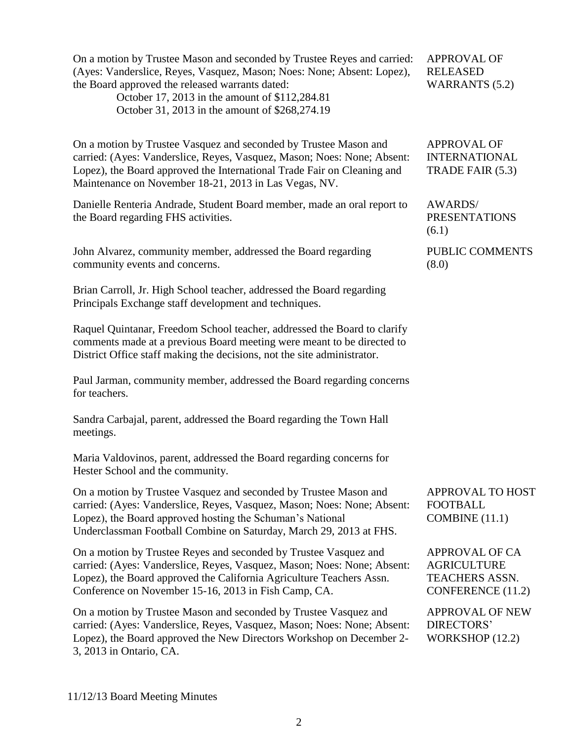| On a motion by Trustee Mason and seconded by Trustee Reyes and carried:<br>(Ayes: Vanderslice, Reyes, Vasquez, Mason; Noes: None; Absent: Lopez),<br>the Board approved the released warrants dated:<br>October 17, 2013 in the amount of \$112,284.81<br>October 31, 2013 in the amount of \$268,274.19 | <b>APPROVAL OF</b><br><b>RELEASED</b><br><b>WARRANTS</b> (5.2)                                   |
|----------------------------------------------------------------------------------------------------------------------------------------------------------------------------------------------------------------------------------------------------------------------------------------------------------|--------------------------------------------------------------------------------------------------|
| On a motion by Trustee Vasquez and seconded by Trustee Mason and<br>carried: (Ayes: Vanderslice, Reyes, Vasquez, Mason; Noes: None; Absent:<br>Lopez), the Board approved the International Trade Fair on Cleaning and<br>Maintenance on November 18-21, 2013 in Las Vegas, NV.                          | <b>APPROVAL OF</b><br><b>INTERNATIONAL</b><br>TRADE FAIR (5.3)                                   |
| Danielle Renteria Andrade, Student Board member, made an oral report to<br>the Board regarding FHS activities.                                                                                                                                                                                           | AWARDS/<br><b>PRESENTATIONS</b><br>(6.1)                                                         |
| John Alvarez, community member, addressed the Board regarding<br>community events and concerns.                                                                                                                                                                                                          | PUBLIC COMMENTS<br>(8.0)                                                                         |
| Brian Carroll, Jr. High School teacher, addressed the Board regarding<br>Principals Exchange staff development and techniques.                                                                                                                                                                           |                                                                                                  |
| Raquel Quintanar, Freedom School teacher, addressed the Board to clarify<br>comments made at a previous Board meeting were meant to be directed to<br>District Office staff making the decisions, not the site administrator.                                                                            |                                                                                                  |
| Paul Jarman, community member, addressed the Board regarding concerns<br>for teachers.                                                                                                                                                                                                                   |                                                                                                  |
| Sandra Carbajal, parent, addressed the Board regarding the Town Hall<br>meetings.                                                                                                                                                                                                                        |                                                                                                  |
| Maria Valdovinos, parent, addressed the Board regarding concerns for<br>Hester School and the community.                                                                                                                                                                                                 |                                                                                                  |
| On a motion by Trustee Vasquez and seconded by Trustee Mason and<br>carried: (Ayes: Vanderslice, Reyes, Vasquez, Mason; Noes: None; Absent:<br>Lopez), the Board approved hosting the Schuman's National<br>Underclassman Football Combine on Saturday, March 29, 2013 at FHS.                           | <b>APPROVAL TO HOST</b><br><b>FOOTBALL</b><br>COMBINE (11.1)                                     |
| On a motion by Trustee Reyes and seconded by Trustee Vasquez and<br>carried: (Ayes: Vanderslice, Reyes, Vasquez, Mason; Noes: None; Absent:<br>Lopez), the Board approved the California Agriculture Teachers Assn.<br>Conference on November 15-16, 2013 in Fish Camp, CA.                              | <b>APPROVAL OF CA</b><br><b>AGRICULTURE</b><br><b>TEACHERS ASSN.</b><br><b>CONFERENCE</b> (11.2) |
| On a motion by Trustee Mason and seconded by Trustee Vasquez and<br>carried: (Ayes: Vanderslice, Reyes, Vasquez, Mason; Noes: None; Absent:<br>Lopez), the Board approved the New Directors Workshop on December 2-<br>3, 2013 in Ontario, CA.                                                           | <b>APPROVAL OF NEW</b><br>DIRECTORS'<br>WORKSHOP (12.2)                                          |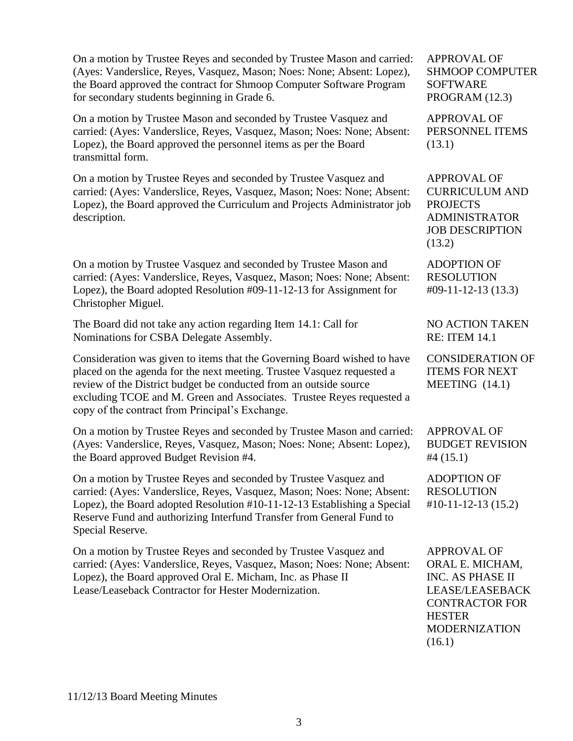On a motion by Trustee Reyes and seconded by Trustee Mason and carried: (Ayes: Vanderslice, Reyes, Vasquez, Mason; Noes: None; Absent: Lopez), the Board approved the contract for Shmoop Computer Software Program for secondary students beginning in Grade 6.

On a motion by Trustee Mason and seconded by Trustee Vasquez and carried: (Ayes: Vanderslice, Reyes, Vasquez, Mason; Noes: None; Absent: Lopez), the Board approved the personnel items as per the Board transmittal form.

On a motion by Trustee Reyes and seconded by Trustee Vasquez and carried: (Ayes: Vanderslice, Reyes, Vasquez, Mason; Noes: None; Absent: Lopez), the Board approved the Curriculum and Projects Administrator job description.

On a motion by Trustee Vasquez and seconded by Trustee Mason and carried: (Ayes: Vanderslice, Reyes, Vasquez, Mason; Noes: None; Absent: Lopez), the Board adopted Resolution #09-11-12-13 for Assignment for Christopher Miguel.

The Board did not take any action regarding Item 14.1: Call for Nominations for CSBA Delegate Assembly.

Consideration was given to items that the Governing Board wished to have placed on the agenda for the next meeting. Trustee Vasquez requested a review of the District budget be conducted from an outside source excluding TCOE and M. Green and Associates. Trustee Reyes requested a copy of the contract from Principal's Exchange.

On a motion by Trustee Reyes and seconded by Trustee Mason and carried: (Ayes: Vanderslice, Reyes, Vasquez, Mason; Noes: None; Absent: Lopez), the Board approved Budget Revision #4.

On a motion by Trustee Reyes and seconded by Trustee Vasquez and carried: (Ayes: Vanderslice, Reyes, Vasquez, Mason; Noes: None; Absent: Lopez), the Board adopted Resolution #10-11-12-13 Establishing a Special Reserve Fund and authorizing Interfund Transfer from General Fund to Special Reserve.

On a motion by Trustee Reyes and seconded by Trustee Vasquez and carried: (Ayes: Vanderslice, Reyes, Vasquez, Mason; Noes: None; Absent: Lopez), the Board approved Oral E. Micham, Inc. as Phase II Lease/Leaseback Contractor for Hester Modernization.

APPROVAL OF SHMOOP COMPUTER SOFTWARE PROGRAM (12.3)

APPROVAL OF PERSONNEL ITEMS (13.1)

APPROVAL OF CURRICULUM AND PROJECTS ADMINISTRATOR JOB DESCRIPTION (13.2)

ADOPTION OF RESOLUTION #09-11-12-13 (13.3)

NO ACTION TAKEN RE: ITEM 14.1

CONSIDERATION OF ITEMS FOR NEXT MEETING (14.1)

APPROVAL OF BUDGET REVISION #4 (15.1)

ADOPTION OF RESOLUTION #10-11-12-13 (15.2)

APPROVAL OF ORAL E. MICHAM, INC. AS PHASE II LEASE/LEASEBACK CONTRACTOR FOR **HESTER** MODERNIZATION (16.1)